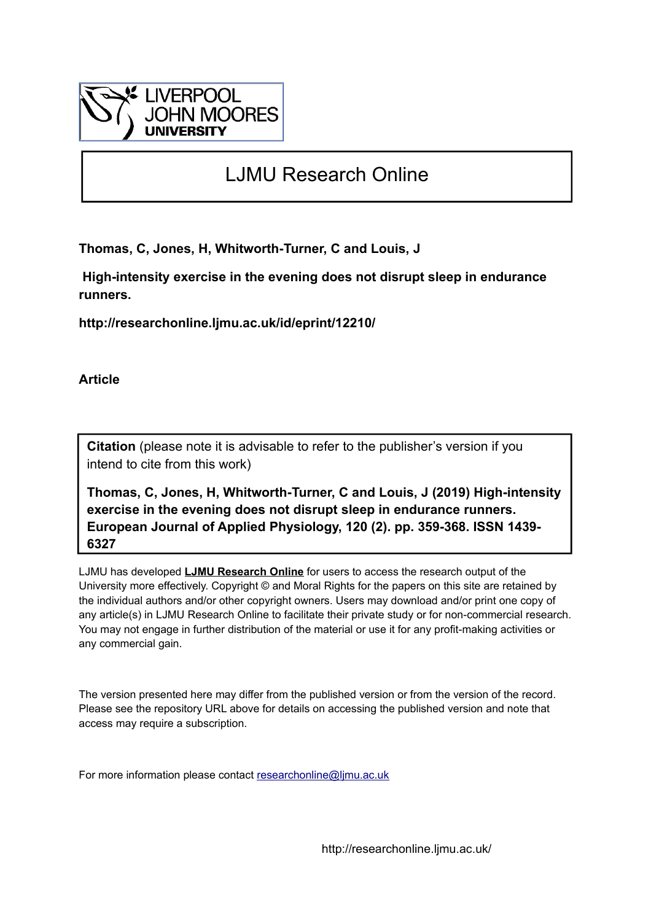

# LJMU Research Online

**Thomas, C, Jones, H, Whitworth-Turner, C and Louis, J**

 **High-intensity exercise in the evening does not disrupt sleep in endurance runners.**

**http://researchonline.ljmu.ac.uk/id/eprint/12210/**

**Article**

**Citation** (please note it is advisable to refer to the publisher's version if you intend to cite from this work)

**Thomas, C, Jones, H, Whitworth-Turner, C and Louis, J (2019) High-intensity exercise in the evening does not disrupt sleep in endurance runners. European Journal of Applied Physiology, 120 (2). pp. 359-368. ISSN 1439- 6327** 

LJMU has developed **[LJMU Research Online](http://researchonline.ljmu.ac.uk/)** for users to access the research output of the University more effectively. Copyright © and Moral Rights for the papers on this site are retained by the individual authors and/or other copyright owners. Users may download and/or print one copy of any article(s) in LJMU Research Online to facilitate their private study or for non-commercial research. You may not engage in further distribution of the material or use it for any profit-making activities or any commercial gain.

The version presented here may differ from the published version or from the version of the record. Please see the repository URL above for details on accessing the published version and note that access may require a subscription.

For more information please contact [researchonline@ljmu.ac.uk](mailto:researchonline@ljmu.ac.uk)

http://researchonline.ljmu.ac.uk/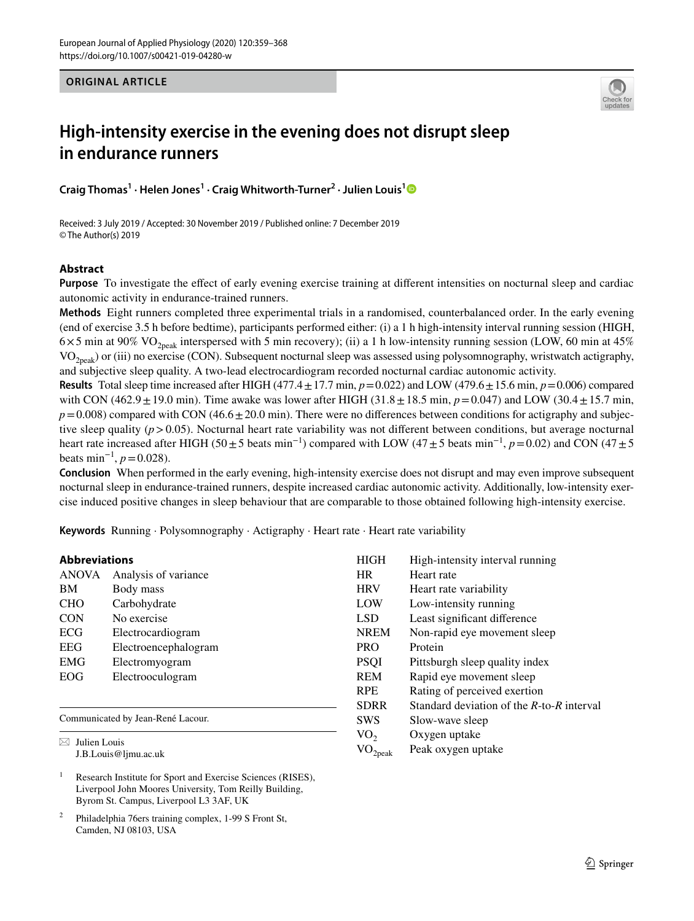**ORIGINAL ARTICLE**



## **High‑intensity exercise in the evening does not disrupt sleep in endurance runners**

**Craig Thomas1 · Helen Jones1 · Craig Whitworth‑Turner2 · Julien Louis[1](http://orcid.org/0000-0002-9109-0958)**

Received: 3 July 2019 / Accepted: 30 November 2019 / Published online: 7 December 2019 © The Author(s) 2019

## **Abstract**

**Purpose** To investigate the effect of early evening exercise training at different intensities on nocturnal sleep and cardiac autonomic activity in endurance-trained runners.

**Methods** Eight runners completed three experimental trials in a randomised, counterbalanced order. In the early evening (end of exercise 3.5 h before bedtime), participants performed either: (i) a 1 h high-intensity interval running session (HIGH,  $6\times5$  min at 90% VO<sub>2peak</sub> interspersed with 5 min recovery); (ii) a 1 h low-intensity running session (LOW, 60 min at 45%  $VO<sub>2peak</sub>$ ) or (iii) no exercise (CON). Subsequent nocturnal sleep was assessed using polysomnography, wristwatch actigraphy, and subjective sleep quality. A two-lead electrocardiogram recorded nocturnal cardiac autonomic activity.

**Results** Total sleep time increased after HIGH (477.4  $\pm$  17.7 min,  $p$  = 0.022) and LOW (479.6  $\pm$  15.6 min,  $p$  = 0.006) compared with CON (462.9 $\pm$ 19.0 min). Time awake was lower after HIGH (31.8 $\pm$ 18.5 min, *p*=0.047) and LOW (30.4 $\pm$ 15.7 min,  $p=0.008$ ) compared with CON (46.6 $\pm$ 20.0 min). There were no differences between conditions for actigraphy and subjective sleep quality (*p*>0.05). Nocturnal heart rate variability was not diferent between conditions, but average nocturnal heart rate increased after HIGH (50±5 beats min−1) compared with LOW (47±5 beats min−1, *p*=0.02) and CON (47±5 beats min<sup>-1</sup>,  $p = 0.028$ ).

**Conclusion** When performed in the early evening, high-intensity exercise does not disrupt and may even improve subsequent nocturnal sleep in endurance-trained runners, despite increased cardiac autonomic activity. Additionally, low-intensity exercise induced positive changes in sleep behaviour that are comparable to those obtained following high-intensity exercise.

**Keywords** Running · Polysomnography · Actigraphy · Heart rate · Heart rate variability

| <b>Abbreviations</b> |                      |  |
|----------------------|----------------------|--|
| <b>ANOVA</b>         | Analysis of variance |  |
| BM                   | Body mass            |  |
| <b>CHO</b>           | Carbohydrate         |  |
| <b>CON</b>           | No exercise          |  |
| ECG                  | Electrocardiogram    |  |
| <b>EEG</b>           | Electroencephalogram |  |
| <b>EMG</b>           | Electromyogram       |  |
| EOG                  | Electrooculogram     |  |
|                      |                      |  |
|                      |                      |  |

Communicated by Jean-René Lacour.

 $\boxtimes$  Julien Louis J.B.Louis@ljmu.ac.uk

<sup>1</sup> Research Institute for Sport and Exercise Sciences (RISES), Liverpool John Moores University, Tom Reilly Building, Byrom St. Campus, Liverpool L3 3AF, UK

<sup>2</sup> Philadelphia 76ers training complex, 1-99 S Front St, Camden, NJ 08103, USA

| <b>HIGH</b>     | High-intensity interval running                 |
|-----------------|-------------------------------------------------|
| HR.             | Heart rate                                      |
| <b>HRV</b>      | Heart rate variability                          |
| LOW             | Low-intensity running                           |
| <b>LSD</b>      | Least significant difference                    |
| <b>NREM</b>     | Non-rapid eye movement sleep                    |
| <b>PRO</b>      | Protein                                         |
| <b>PSOI</b>     | Pittsburgh sleep quality index                  |
| <b>REM</b>      | Rapid eye movement sleep                        |
| <b>RPE</b>      | Rating of perceived exertion                    |
| <b>SDRR</b>     | Standard deviation of the $R$ -to- $R$ interval |
| <b>SWS</b>      | Slow-wave sleep                                 |
| VO <sub>2</sub> | Oxygen uptake                                   |
| 2peak           | Peak oxygen uptake                              |
|                 |                                                 |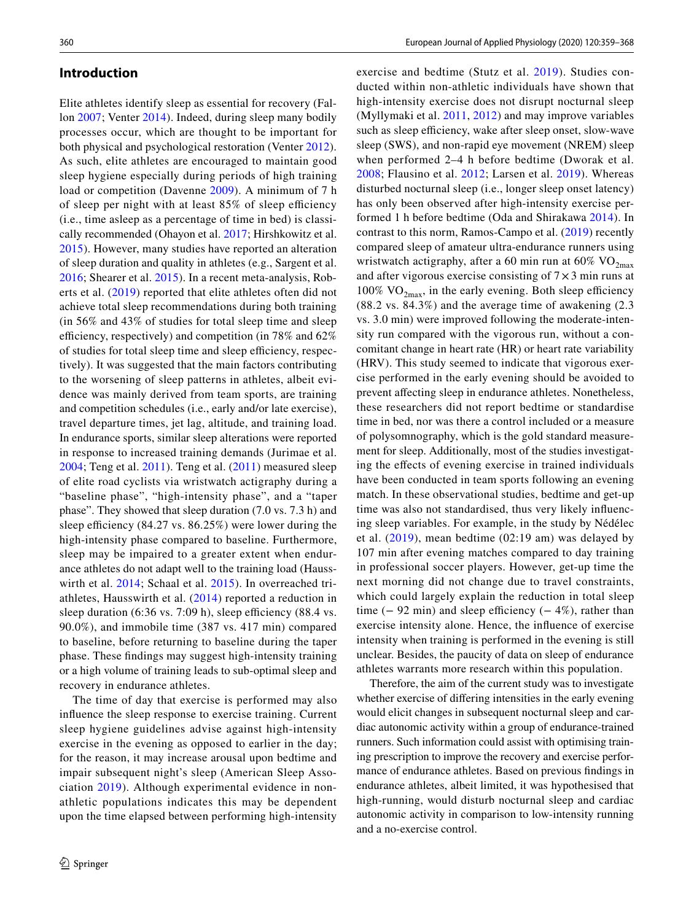## **Introduction**

Elite athletes identify sleep as essential for recovery (Fallon [2007](#page-9-0); Venter [2014](#page-10-0)). Indeed, during sleep many bodily processes occur, which are thought to be important for both physical and psychological restoration (Venter [2012](#page-10-1)). As such, elite athletes are encouraged to maintain good sleep hygiene especially during periods of high training load or competition (Davenne [2009](#page-9-1)). A minimum of 7 h of sleep per night with at least  $85\%$  of sleep efficiency (i.e., time asleep as a percentage of time in bed) is classically recommended (Ohayon et al. [2017](#page-9-2); Hirshkowitz et al. [2015\)](#page-9-3). However, many studies have reported an alteration of sleep duration and quality in athletes (e.g., Sargent et al. [2016;](#page-9-4) Shearer et al. [2015\)](#page-9-5). In a recent meta-analysis, Roberts et al. ([2019\)](#page-9-6) reported that elite athletes often did not achieve total sleep recommendations during both training (in 56% and 43% of studies for total sleep time and sleep efficiency, respectively) and competition (in  $78\%$  and  $62\%$ of studies for total sleep time and sleep efficiency, respectively). It was suggested that the main factors contributing to the worsening of sleep patterns in athletes, albeit evidence was mainly derived from team sports, are training and competition schedules (i.e., early and/or late exercise), travel departure times, jet lag, altitude, and training load. In endurance sports, similar sleep alterations were reported in response to increased training demands (Jurimae et al. [2004;](#page-9-7) Teng et al. [2011\)](#page-9-8). Teng et al. ([2011](#page-9-8)) measured sleep of elite road cyclists via wristwatch actigraphy during a "baseline phase", "high-intensity phase", and a "taper phase". They showed that sleep duration (7.0 vs. 7.3 h) and sleep efficiency  $(84.27 \text{ vs. } 86.25\%)$  were lower during the high-intensity phase compared to baseline. Furthermore, sleep may be impaired to a greater extent when endurance athletes do not adapt well to the training load (Hausswirth et al. [2014;](#page-9-9) Schaal et al. [2015\)](#page-9-10). In overreached triathletes, Hausswirth et al. [\(2014](#page-9-9)) reported a reduction in sleep duration  $(6:36 \text{ vs. } 7:09 \text{ h})$ , sleep efficiency  $(88.4 \text{ vs. } 7:09 \text{ h})$ 90.0%), and immobile time (387 vs. 417 min) compared to baseline, before returning to baseline during the taper phase. These fndings may suggest high-intensity training or a high volume of training leads to sub-optimal sleep and recovery in endurance athletes.

The time of day that exercise is performed may also infuence the sleep response to exercise training. Current sleep hygiene guidelines advise against high-intensity exercise in the evening as opposed to earlier in the day; for the reason, it may increase arousal upon bedtime and impair subsequent night's sleep (American Sleep Association [2019\)](#page-9-11). Although experimental evidence in nonathletic populations indicates this may be dependent upon the time elapsed between performing high-intensity

exercise and bedtime (Stutz et al. [2019\)](#page-9-12). Studies conducted within non-athletic individuals have shown that high-intensity exercise does not disrupt nocturnal sleep (Myllymaki et al. [2011](#page-9-13), [2012\)](#page-9-14) and may improve variables such as sleep efficiency, wake after sleep onset, slow-wave sleep (SWS), and non-rapid eye movement (NREM) sleep when performed 2–4 h before bedtime (Dworak et al. [2008;](#page-9-15) Flausino et al. [2012;](#page-9-16) Larsen et al. [2019\)](#page-9-17). Whereas disturbed nocturnal sleep (i.e., longer sleep onset latency) has only been observed after high-intensity exercise performed 1 h before bedtime (Oda and Shirakawa [2014\)](#page-9-18). In contrast to this norm, Ramos-Campo et al. ([2019\)](#page-9-19) recently compared sleep of amateur ultra-endurance runners using wristwatch actigraphy, after a 60 min run at  $60\%$  VO<sub>2max</sub> and after vigorous exercise consisting of  $7 \times 3$  min runs at  $100\%$  VO<sub>2max</sub>, in the early evening. Both sleep efficiency (88.2 vs. 84.3%) and the average time of awakening (2.3 vs. 3.0 min) were improved following the moderate-intensity run compared with the vigorous run, without a concomitant change in heart rate (HR) or heart rate variability (HRV). This study seemed to indicate that vigorous exercise performed in the early evening should be avoided to prevent affecting sleep in endurance athletes. Nonetheless, these researchers did not report bedtime or standardise time in bed, nor was there a control included or a measure of polysomnography, which is the gold standard measurement for sleep. Additionally, most of the studies investigating the efects of evening exercise in trained individuals have been conducted in team sports following an evening match. In these observational studies, bedtime and get-up time was also not standardised, thus very likely infuencing sleep variables. For example, in the study by Nédélec et al. [\(2019\)](#page-9-20), mean bedtime (02:19 am) was delayed by 107 min after evening matches compared to day training in professional soccer players. However, get-up time the next morning did not change due to travel constraints, which could largely explain the reduction in total sleep time  $(-92 \text{ min})$  and sleep efficiency  $(-4\%)$ , rather than exercise intensity alone. Hence, the infuence of exercise intensity when training is performed in the evening is still unclear. Besides, the paucity of data on sleep of endurance athletes warrants more research within this population.

Therefore, the aim of the current study was to investigate whether exercise of difering intensities in the early evening would elicit changes in subsequent nocturnal sleep and cardiac autonomic activity within a group of endurance-trained runners. Such information could assist with optimising training prescription to improve the recovery and exercise performance of endurance athletes. Based on previous fndings in endurance athletes, albeit limited, it was hypothesised that high-running, would disturb nocturnal sleep and cardiac autonomic activity in comparison to low-intensity running and a no-exercise control.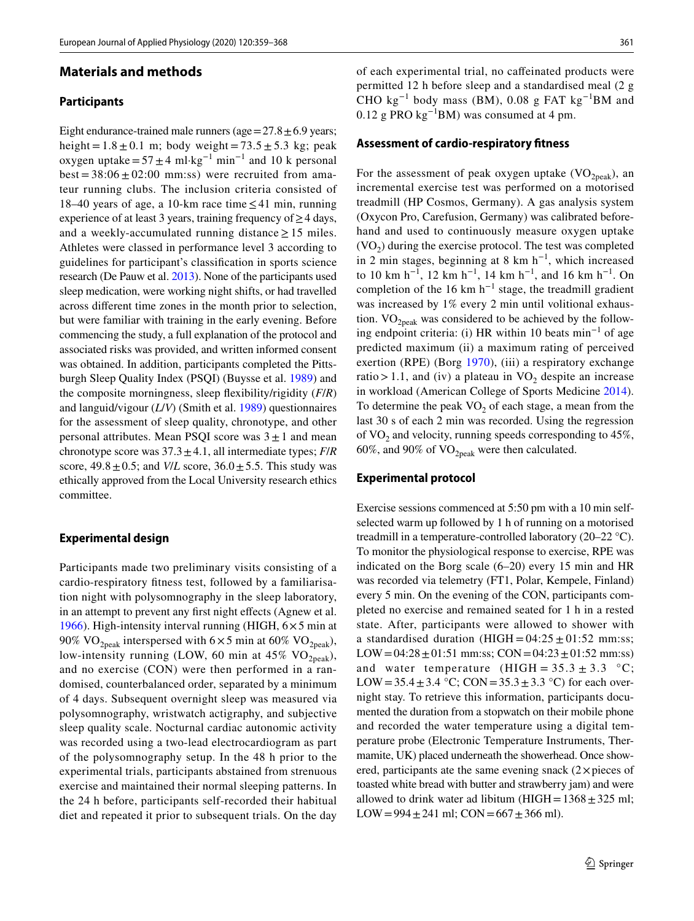### **Materials and methods**

#### **Participants**

Eight endurance-trained male runners (age =  $27.8 \pm 6.9$  years; height =  $1.8 \pm 0.1$  m; body weight =  $73.5 \pm 5.3$  kg; peak oxygen uptake= $57 \pm 4$  ml·kg<sup>-1</sup> min<sup>-1</sup> and 10 k personal  $best = 38:06 \pm 02:00$  mm:ss) were recruited from amateur running clubs. The inclusion criteria consisted of 18–40 years of age, a 10-km race time  $\leq$  41 min, running experience of at least 3 years, training frequency of  $\geq$  4 days, and a weekly-accumulated running distance  $\geq$  15 miles. Athletes were classed in performance level 3 according to guidelines for participant's classifcation in sports science research (De Pauw et al. [2013](#page-9-21)). None of the participants used sleep medication, were working night shifts, or had travelled across diferent time zones in the month prior to selection, but were familiar with training in the early evening. Before commencing the study, a full explanation of the protocol and associated risks was provided, and written informed consent was obtained. In addition, participants completed the Pittsburgh Sleep Quality Index (PSQI) (Buysse et al. [1989\)](#page-9-22) and the composite morningness, sleep fexibility/rigidity (*F*/*R*) and languid/vigour (*L*/*V*) (Smith et al. [1989](#page-9-23)) questionnaires for the assessment of sleep quality, chronotype, and other personal attributes. Mean PSQI score was  $3 \pm 1$  and mean chronotype score was  $37.3 \pm 4.1$ , all intermediate types; *F/R* score,  $49.8 \pm 0.5$ ; and *V/L* score,  $36.0 \pm 5.5$ . This study was ethically approved from the Local University research ethics committee.

#### **Experimental design**

Participants made two preliminary visits consisting of a cardio-respiratory ftness test, followed by a familiarisation night with polysomnography in the sleep laboratory, in an attempt to prevent any first night effects (Agnew et al. [1966](#page-9-24)). High-intensity interval running (HIGH,  $6 \times 5$  min at 90% VO<sub>2peak</sub> interspersed with  $6 \times 5$  min at  $60\%$  VO<sub>2peak</sub>), low-intensity running (LOW, 60 min at 45%  $VO<sub>2peak</sub>$ ), and no exercise (CON) were then performed in a randomised, counterbalanced order, separated by a minimum of 4 days. Subsequent overnight sleep was measured via polysomnography, wristwatch actigraphy, and subjective sleep quality scale. Nocturnal cardiac autonomic activity was recorded using a two-lead electrocardiogram as part of the polysomnography setup. In the 48 h prior to the experimental trials, participants abstained from strenuous exercise and maintained their normal sleeping patterns. In the 24 h before, participants self-recorded their habitual diet and repeated it prior to subsequent trials. On the day of each experimental trial, no cafeinated products were permitted 12 h before sleep and a standardised meal (2 g CHO kg−1 body mass (BM), 0.08 g FAT kg−1BM and 0.12 g PRO kg−1BM) was consumed at 4 pm.

#### **Assessment of cardio‑respiratory ftness**

For the assessment of peak oxygen uptake  $(VO_{2n\text{eak}})$ , an incremental exercise test was performed on a motorised treadmill (HP Cosmos, Germany). A gas analysis system (Oxycon Pro, Carefusion, Germany) was calibrated beforehand and used to continuously measure oxygen uptake  $(VO<sub>2</sub>)$  during the exercise protocol. The test was completed in 2 min stages, beginning at 8 km  $h^{-1}$ , which increased to 10 km h−1, 12 km h−1, 14 km h−1, and 16 km h−1. On completion of the 16 km  $h^{-1}$  stage, the treadmill gradient was increased by 1% every 2 min until volitional exhaustion.  $VO_{2peak}$  was considered to be achieved by the following endpoint criteria: (i) HR within 10 beats min<sup>-1</sup> of age predicted maximum (ii) a maximum rating of perceived exertion (RPE) (Borg [1970\)](#page-9-25), (iii) a respiratory exchange ratio > 1.1, and (iv) a plateau in  $VO<sub>2</sub>$  despite an increase in workload (American College of Sports Medicine [2014](#page-9-26)). To determine the peak  $VO<sub>2</sub>$  of each stage, a mean from the last 30 s of each 2 min was recorded. Using the regression of  $VO_2$  and velocity, running speeds corresponding to 45%, 60%, and 90% of  $VO_{2\text{peak}}$  were then calculated.

#### **Experimental protocol**

Exercise sessions commenced at 5:50 pm with a 10 min selfselected warm up followed by 1 h of running on a motorised treadmill in a temperature-controlled laboratory (20–22 °C). To monitor the physiological response to exercise, RPE was indicated on the Borg scale (6–20) every 15 min and HR was recorded via telemetry (FT1, Polar, Kempele, Finland) every 5 min. On the evening of the CON, participants completed no exercise and remained seated for 1 h in a rested state. After, participants were allowed to shower with a standardised duration  $(HIGH = 04:25 \pm 01:52 \text{ mm} \cdot \text{ss})$ ; LOW= $04:28 \pm 01:51$  mm:ss; CON= $04:23 \pm 01:52$  mm:ss) and water temperature  $(HIGH = 35.3 \pm 3.3 \degree C;$ LOW =  $35.4 \pm 3.4$  °C; CON =  $35.3 \pm 3.3$  °C) for each overnight stay. To retrieve this information, participants documented the duration from a stopwatch on their mobile phone and recorded the water temperature using a digital temperature probe (Electronic Temperature Instruments, Thermamite, UK) placed underneath the showerhead. Once showered, participants ate the same evening snack  $(2 \times p \text{ ieces of})$ toasted white bread with butter and strawberry jam) and were allowed to drink water ad libitum (HIGH =  $1368 \pm 325$  ml; LOW=994 $\pm$ 241 ml; CON=667 $\pm$ 366 ml).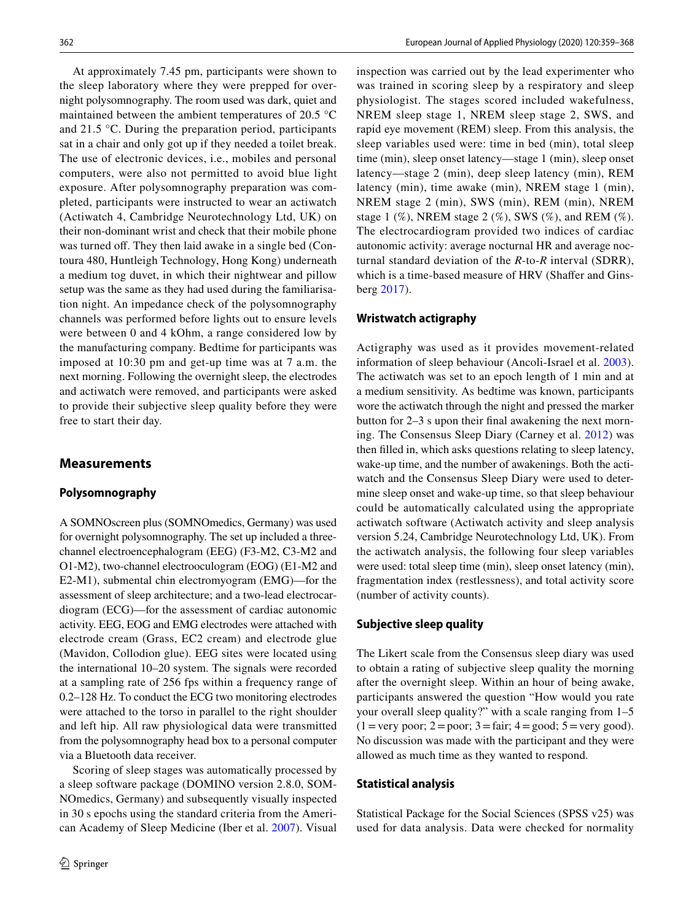At approximately 7.45 pm, participants were shown to the sleep laboratory where they were prepped for overnight polysomnography. The room used was dark, quiet and maintained between the ambient temperatures of 20.5 °C and 21.5 °C. During the preparation period, participants sat in a chair and only got up if they needed a toilet break. The use of electronic devices, i.e., mobiles and personal computers, were also not permitted to avoid blue light exposure. After polysomnography preparation was completed, participants were instructed to wear an actiwatch (Actiwatch 4, Cambridge Neurotechnology Ltd, UK) on their non-dominant wrist and check that their mobile phone was turned off. They then laid awake in a single bed (Contoura 480, Huntleigh Technology, Hong Kong) underneath a medium tog duvet, in which their nightwear and pillow setup was the same as they had used during the familiarisation night. An impedance check of the polysomnography channels was performed before lights out to ensure levels were between 0 and 4 kOhm, a range considered low by the manufacturing company. Bedtime for participants was imposed at 10:30 pm and get-up time was at 7 a.m. the next morning. Following the overnight sleep, the electrodes and actiwatch were removed, and participants were asked to provide their subjective sleep quality before they were free to start their day.

## **Measurements**

#### **Polysomnography**

A SOMNOscreen plus (SOMNOmedics, Germany) was used for overnight polysomnography. The set up included a threechannel electroencephalogram (EEG) (F3-M2, C3-M2 and O1-M2), two-channel electrooculogram (EOG) (E1-M2 and E2-M1), submental chin electromyogram (EMG)—for the assessment of sleep architecture; and a two-lead electrocardiogram (ECG)—for the assessment of cardiac autonomic activity. EEG, EOG and EMG electrodes were attached with electrode cream (Grass, EC2 cream) and electrode glue (Mavidon, Collodion glue). EEG sites were located using the international 10–20 system. The signals were recorded at a sampling rate of 256 fps within a frequency range of 0.2–128 Hz. To conduct the ECG two monitoring electrodes were attached to the torso in parallel to the right shoulder and left hip. All raw physiological data were transmitted from the polysomnography head box to a personal computer via a Bluetooth data receiver.

Scoring of sleep stages was automatically processed by a sleep software package (DOMINO version 2.8.0, SOM-NOmedics, Germany) and subsequently visually inspected in 30 s epochs using the standard criteria from the American Academy of Sleep Medicine (Iber et al. [2007\)](#page-9-27). Visual inspection was carried out by the lead experimenter who was trained in scoring sleep by a respiratory and sleep physiologist. The stages scored included wakefulness, NREM sleep stage 1, NREM sleep stage 2, SWS, and rapid eye movement (REM) sleep. From this analysis, the sleep variables used were: time in bed (min), total sleep time (min), sleep onset latency—stage 1 (min), sleep onset latency—stage 2 (min), deep sleep latency (min), REM latency (min), time awake (min), NREM stage 1 (min), NREM stage 2 (min), SWS (min), REM (min), NREM stage 1  $(\%)$ , NREM stage 2  $(\%)$ , SWS  $(\%)$ , and REM  $(\%)$ . The electrocardiogram provided two indices of cardiac autonomic activity: average nocturnal HR and average nocturnal standard deviation of the *R*-to-*R* interval (SDRR), which is a time-based measure of HRV (Shaffer and Ginsberg [2017](#page-9-28)).

## **Wristwatch actigraphy**

Actigraphy was used as it provides movement-related information of sleep behaviour (Ancoli-Israel et al. [2003](#page-9-29)). The actiwatch was set to an epoch length of 1 min and at a medium sensitivity. As bedtime was known, participants wore the actiwatch through the night and pressed the marker button for 2–3 s upon their fnal awakening the next morning. The Consensus Sleep Diary (Carney et al. [2012](#page-9-30)) was then flled in, which asks questions relating to sleep latency, wake-up time, and the number of awakenings. Both the actiwatch and the Consensus Sleep Diary were used to determine sleep onset and wake-up time, so that sleep behaviour could be automatically calculated using the appropriate actiwatch software (Actiwatch activity and sleep analysis version 5.24, Cambridge Neurotechnology Ltd, UK). From the actiwatch analysis, the following four sleep variables were used: total sleep time (min), sleep onset latency (min), fragmentation index (restlessness), and total activity score (number of activity counts).

#### **Subjective sleep quality**

The Likert scale from the Consensus sleep diary was used to obtain a rating of subjective sleep quality the morning after the overnight sleep. Within an hour of being awake, participants answered the question "How would you rate your overall sleep quality?" with a scale ranging from 1–5  $(1 = \text{very poor}; 2 = \text{poor}; 3 = \text{fair}; 4 = \text{good}; 5 = \text{very good}).$ No discussion was made with the participant and they were allowed as much time as they wanted to respond.

#### **Statistical analysis**

Statistical Package for the Social Sciences (SPSS v25) was used for data analysis. Data were checked for normality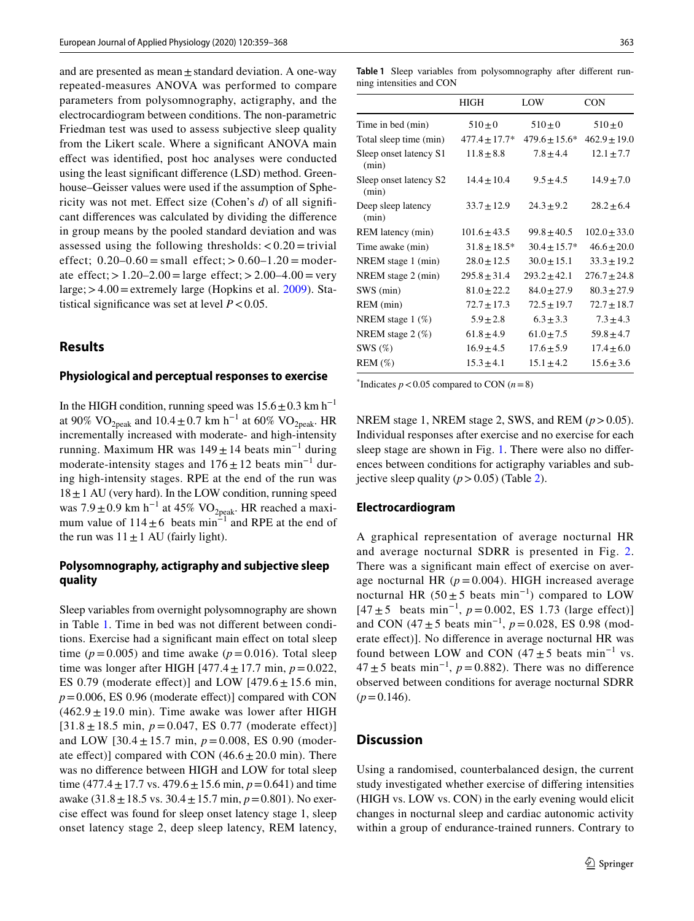and are presented as mean $\pm$ standard deviation. A one-way repeated-measures ANOVA was performed to compare parameters from polysomnography, actigraphy, and the electrocardiogram between conditions. The non-parametric Friedman test was used to assess subjective sleep quality from the Likert scale. Where a signifcant ANOVA main efect was identifed, post hoc analyses were conducted using the least signifcant diference (LSD) method. Greenhouse–Geisser values were used if the assumption of Sphericity was not met. Efect size (Cohen's *d*) of all signifcant diferences was calculated by dividing the diference in group means by the pooled standard deviation and was assessed using the following thresholds:  $< 0.20 =$  trivial effect;  $0.20-0.60 = \text{small effect}$ ;  $> 0.60-1.20 = \text{modern}$ ate effect;  $> 1.20 - 2.00 = \text{large effect}$ ;  $> 2.00 - 4.00 = \text{very}$ large;  $>4.00$  = extremely large (Hopkins et al. [2009\)](#page-9-31). Statistical significance was set at level  $P < 0.05$ .

## **Results**

#### **Physiological and perceptual responses to exercise**

In the HIGH condition, running speed was  $15.6 \pm 0.3$  km h<sup>-1</sup> at 90% VO<sub>2peak</sub> and 10.4 ± 0.7 km h<sup>-1</sup> at 60% VO<sub>2peak</sub>. HR incrementally increased with moderate- and high-intensity running. Maximum HR was  $149 \pm 14$  beats min<sup>-1</sup> during moderate-intensity stages and  $176 \pm 12$  beats min<sup>-1</sup> during high-intensity stages. RPE at the end of the run was  $18 \pm 1$  AU (very hard). In the LOW condition, running speed was  $7.9 \pm 0.9$  km h<sup>-1</sup> at 45% VO<sub>2peak</sub>. HR reached a maximum value of  $114 \pm 6$  beats min<sup>-1</sup> and RPE at the end of the run was  $11 \pm 1$  AU (fairly light).

## **Polysomnography, actigraphy and subjective sleep quality**

Sleep variables from overnight polysomnography are shown in Table [1](#page-5-0). Time in bed was not diferent between conditions. Exercise had a signifcant main efect on total sleep time ( $p = 0.005$ ) and time awake ( $p = 0.016$ ). Total sleep time was longer after HIGH  $[477.4 \pm 17.7 \text{ min}, p = 0.022,$ ES 0.79 (moderate effect)] and LOW  $[479.6 \pm 15.6 \text{ min}]$ ,  $p=0.006$ , ES 0.96 (moderate effect)] compared with CON  $(462.9 \pm 19.0 \text{ min})$ . Time awake was lower after HIGH  $[31.8 \pm 18.5 \text{ min}, p = 0.047, \text{ ES } 0.77 \text{ (moderate effect)}]$ and LOW  $[30.4 \pm 15.7 \text{ min}, p = 0.008, ES\ 0.90 \text{ (modern-}$ ate effect)] compared with CON  $(46.6 \pm 20.0 \text{ min})$ . There was no diference between HIGH and LOW for total sleep time (477.4  $\pm$  17.7 vs. 479.6  $\pm$  15.6 min,  $p = 0.641$ ) and time awake (31.8±18.5 vs. 30.4±15.7 min, *p*=0.801). No exercise efect was found for sleep onset latency stage 1, sleep onset latency stage 2, deep sleep latency, REM latency,

<span id="page-5-0"></span>**Table 1** Sleep variables from polysomnography after diferent running intensities and CON

|                                 | HIGH              | LOW                | CON              |
|---------------------------------|-------------------|--------------------|------------------|
| Time in bed (min)               | $510 \pm 0$       | $510 \pm 0$        | $510 \pm 0$      |
| Total sleep time (min)          | $477.4 \pm 17.7*$ | $479.6 \pm 15.6^*$ | $462.9 \pm 19.0$ |
| Sleep onset latency S1<br>(min) | $11.8 \pm 8.8$    | $7.8 \pm 4.4$      | $12.1 \pm 7.7$   |
| Sleep onset latency S2<br>(min) | $14.4 \pm 10.4$   | $9.5 \pm 4.5$      | $14.9 \pm 7.0$   |
| Deep sleep latency<br>(min)     | $33.7 \pm 12.9$   | $24.3 \pm 9.2$     | $28.2 \pm 6.4$   |
| REM latency (min)               | $101.6 \pm 43.5$  | $99.8 \pm 40.5$    | $102.0 \pm 33.0$ |
| Time awake (min)                | $31.8 \pm 18.5^*$ | $30.4 \pm 15.7*$   | $46.6 \pm 20.0$  |
| NREM stage 1 (min)              | $28.0 \pm 12.5$   | $30.0 \pm 15.1$    | $33.3 \pm 19.2$  |
| NREM stage 2 (min)              | $295.8 \pm 31.4$  | $293.2 \pm 42.1$   | $276.7 \pm 24.8$ |
| SWS (min)                       | $81.0 \pm 22.2$   | $84.0 \pm 27.9$    | $80.3 \pm 27.9$  |
| REM (min)                       | $72.7 \pm 17.3$   | $72.5 \pm 19.7$    | $72.7 \pm 18.7$  |
| NREM stage $1 \, (\%)$          | $5.9 \pm 2.8$     | $6.3 \pm 3.3$      | $7.3 \pm 4.3$    |
| NREM stage $2 \ (\%)$           | $61.8 \pm 4.9$    | $61.0 \pm 7.5$     | $59.8 \pm 4.7$   |
| SWS $(\%)$                      | $16.9 \pm 4.5$    | $17.6 \pm 5.9$     | $17.4 \pm 6.0$   |
| $REM$ $(\%)$                    | $15.3 \pm 4.1$    | $15.1 \pm 4.2$     | $15.6 \pm 3.6$   |

<sup>\*</sup>Indicates  $p < 0.05$  compared to CON ( $n = 8$ )

NREM stage 1, NREM stage 2, SWS, and REM (*p*>0.05). Individual responses after exercise and no exercise for each sleep stage are shown in Fig. [1.](#page-6-0) There were also no diferences between conditions for actigraphy variables and subjective sleep quality  $(p > 0.05)$  (Table [2\)](#page-6-1).

#### **Electrocardiogram**

A graphical representation of average nocturnal HR and average nocturnal SDRR is presented in Fig. [2.](#page-6-2) There was a significant main effect of exercise on average nocturnal HR  $(p=0.004)$ . HIGH increased average nocturnal HR (50  $\pm$  5 beats min<sup>-1</sup>) compared to LOW [47 ± 5 beats min−1, *p* = 0.002, ES 1.73 (large effect)] and CON (47±5 beats min−1, *p*=0.028, ES 0.98 (moderate efect)]. No diference in average nocturnal HR was found between LOW and CON (47 $\pm$ 5 beats min<sup>-1</sup> vs.  $47 \pm 5$  beats min<sup>-1</sup>,  $p = 0.882$ ). There was no difference observed between conditions for average nocturnal SDRR  $(p=0.146)$ .

## **Discussion**

Using a randomised, counterbalanced design, the current study investigated whether exercise of difering intensities (HIGH vs. LOW vs. CON) in the early evening would elicit changes in nocturnal sleep and cardiac autonomic activity within a group of endurance-trained runners. Contrary to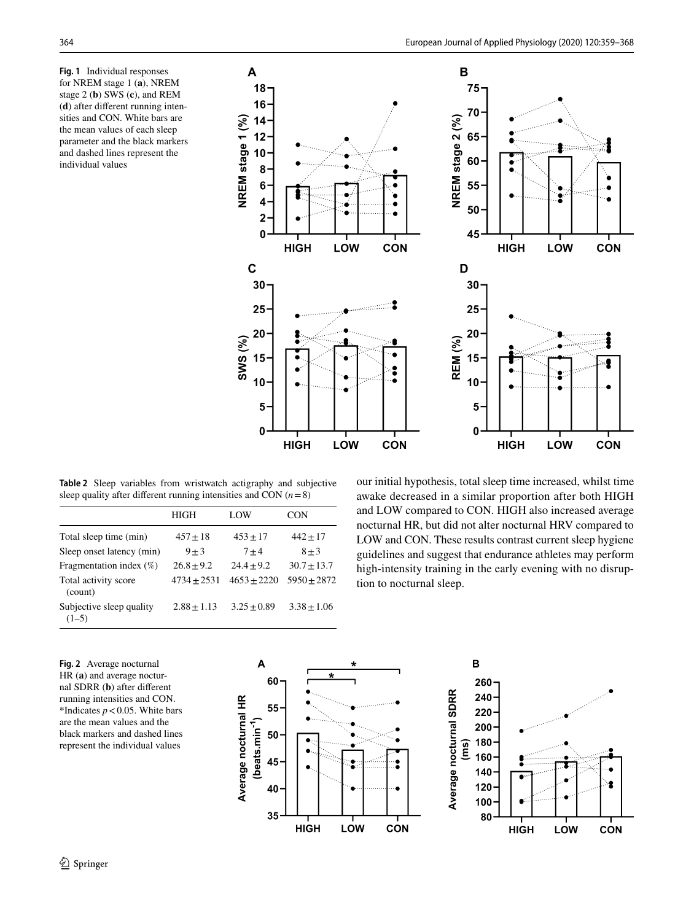<span id="page-6-0"></span>**Fig. 1** Individual responses for NREM stage 1 (**a**), NREM stage 2 (**b**) SWS (**c**), and REM (**d**) after diferent running intensities and CON. White bars are the mean values of each sleep parameter and the black markers and dashed lines represent the individual values



<span id="page-6-1"></span>**Table 2** Sleep variables from wristwatch actigraphy and subjective sleep quality after diferent running intensities and CON (*n*=8)

|                                     | HIGH          | LOW            | CON             |
|-------------------------------------|---------------|----------------|-----------------|
| Total sleep time (min)              | $457 \pm 18$  | $453 \pm 17$   | $442 + 17$      |
| Sleep onset latency (min)           | $9 + 3$       | $7 + 4$        | $8 + 3$         |
| Fragmentation index $(\%)$          | $26.8 + 9.2$  | $24.4 \pm 9.2$ | $30.7 + 13.7$   |
| Total activity score<br>(count)     | $4734 + 2531$ | $4653 + 2220$  | $5950 + 2872$   |
| Subjective sleep quality<br>$(1-5)$ | $2.88 + 1.13$ | $3.25 + 0.89$  | $3.38 \pm 1.06$ |

our initial hypothesis, total sleep time increased, whilst time awake decreased in a similar proportion after both HIGH and LOW compared to CON. HIGH also increased average nocturnal HR, but did not alter nocturnal HRV compared to LOW and CON. These results contrast current sleep hygiene guidelines and suggest that endurance athletes may perform high-intensity training in the early evening with no disruption to nocturnal sleep.

B

260

240

220

200

180 160

140 120

100

80

**HIGH** 

LOW

CON

<span id="page-6-2"></span>**Fig. 2** Average nocturnal HR (**a**) and average nocturnal SDRR (**b**) after diferent running intensities and CON. \*Indicates  $p < 0.05$ . White bars are the mean values and the black markers and dashed lines represent the individual values

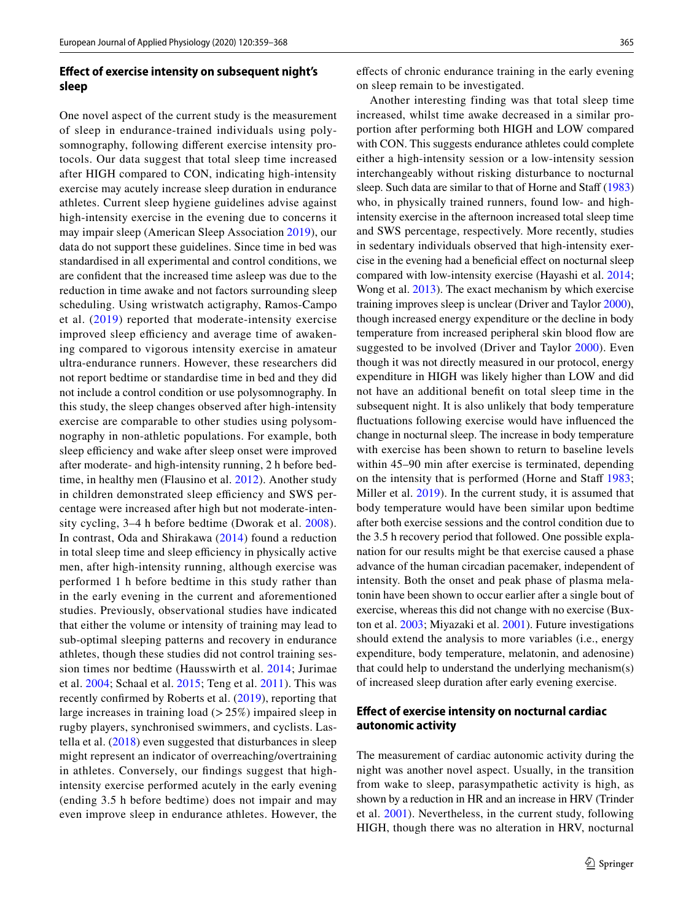## **Efect of exercise intensity on subsequent night's sleep**

One novel aspect of the current study is the measurement of sleep in endurance-trained individuals using polysomnography, following diferent exercise intensity protocols. Our data suggest that total sleep time increased after HIGH compared to CON, indicating high-intensity exercise may acutely increase sleep duration in endurance athletes. Current sleep hygiene guidelines advise against high-intensity exercise in the evening due to concerns it may impair sleep (American Sleep Association [2019\)](#page-9-11), our data do not support these guidelines. Since time in bed was standardised in all experimental and control conditions, we are confdent that the increased time asleep was due to the reduction in time awake and not factors surrounding sleep scheduling. Using wristwatch actigraphy, Ramos-Campo et al. ([2019\)](#page-9-19) reported that moderate-intensity exercise improved sleep efficiency and average time of awakening compared to vigorous intensity exercise in amateur ultra-endurance runners. However, these researchers did not report bedtime or standardise time in bed and they did not include a control condition or use polysomnography. In this study, the sleep changes observed after high-intensity exercise are comparable to other studies using polysomnography in non-athletic populations. For example, both sleep efficiency and wake after sleep onset were improved after moderate- and high-intensity running, 2 h before bedtime, in healthy men (Flausino et al. [2012](#page-9-16)). Another study in children demonstrated sleep efficiency and SWS percentage were increased after high but not moderate-intensity cycling, 3–4 h before bedtime (Dworak et al. [2008\)](#page-9-15). In contrast, Oda and Shirakawa ([2014](#page-9-18)) found a reduction in total sleep time and sleep efficiency in physically active men, after high-intensity running, although exercise was performed 1 h before bedtime in this study rather than in the early evening in the current and aforementioned studies. Previously, observational studies have indicated that either the volume or intensity of training may lead to sub-optimal sleeping patterns and recovery in endurance athletes, though these studies did not control training session times nor bedtime (Hausswirth et al. [2014](#page-9-9); Jurimae et al. [2004](#page-9-7); Schaal et al. [2015](#page-9-10); Teng et al. [2011](#page-9-8)). This was recently confrmed by Roberts et al. ([2019](#page-9-6)), reporting that large increases in training load  $(>25%)$  impaired sleep in rugby players, synchronised swimmers, and cyclists. Lastella et al. ([2018\)](#page-9-32) even suggested that disturbances in sleep might represent an indicator of overreaching/overtraining in athletes. Conversely, our fndings suggest that highintensity exercise performed acutely in the early evening (ending 3.5 h before bedtime) does not impair and may even improve sleep in endurance athletes. However, the efects of chronic endurance training in the early evening on sleep remain to be investigated.

Another interesting finding was that total sleep time increased, whilst time awake decreased in a similar proportion after performing both HIGH and LOW compared with CON. This suggests endurance athletes could complete either a high-intensity session or a low-intensity session interchangeably without risking disturbance to nocturnal sleep. Such data are similar to that of Horne and Staff [\(1983](#page-9-33)) who, in physically trained runners, found low- and highintensity exercise in the afternoon increased total sleep time and SWS percentage, respectively. More recently, studies in sedentary individuals observed that high-intensity exercise in the evening had a beneficial effect on nocturnal sleep compared with low-intensity exercise (Hayashi et al. [2014](#page-9-34); Wong et al. [2013](#page-10-2)). The exact mechanism by which exercise training improves sleep is unclear (Driver and Taylor [2000](#page-9-35)), though increased energy expenditure or the decline in body temperature from increased peripheral skin blood fow are suggested to be involved (Driver and Taylor [2000](#page-9-35)). Even though it was not directly measured in our protocol, energy expenditure in HIGH was likely higher than LOW and did not have an additional beneft on total sleep time in the subsequent night. It is also unlikely that body temperature fuctuations following exercise would have infuenced the change in nocturnal sleep. The increase in body temperature with exercise has been shown to return to baseline levels within 45–90 min after exercise is terminated, depending on the intensity that is performed (Horne and Staff [1983](#page-9-33); Miller et al. [2019\)](#page-9-36). In the current study, it is assumed that body temperature would have been similar upon bedtime after both exercise sessions and the control condition due to the 3.5 h recovery period that followed. One possible explanation for our results might be that exercise caused a phase advance of the human circadian pacemaker, independent of intensity. Both the onset and peak phase of plasma melatonin have been shown to occur earlier after a single bout of exercise, whereas this did not change with no exercise (Buxton et al. [2003;](#page-9-37) Miyazaki et al. [2001\)](#page-9-38). Future investigations should extend the analysis to more variables (i.e., energy expenditure, body temperature, melatonin, and adenosine) that could help to understand the underlying mechanism(s) of increased sleep duration after early evening exercise.

## **Efect of exercise intensity on nocturnal cardiac autonomic activity**

The measurement of cardiac autonomic activity during the night was another novel aspect. Usually, in the transition from wake to sleep, parasympathetic activity is high, as shown by a reduction in HR and an increase in HRV (Trinder et al. [2001](#page-9-39)). Nevertheless, in the current study, following HIGH, though there was no alteration in HRV, nocturnal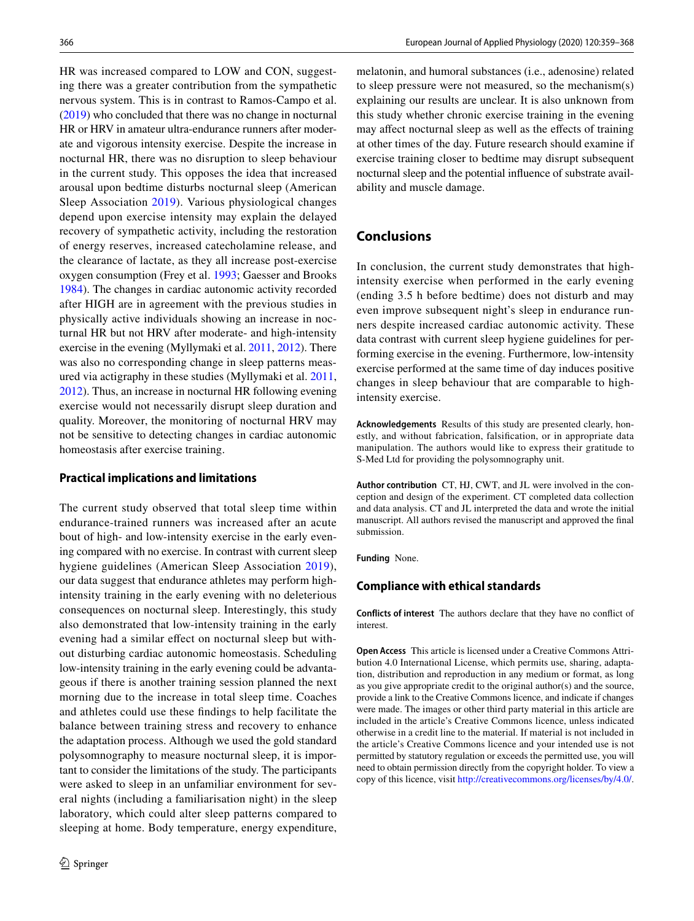HR was increased compared to LOW and CON, suggesting there was a greater contribution from the sympathetic nervous system. This is in contrast to Ramos-Campo et al. [\(2019](#page-9-19)) who concluded that there was no change in nocturnal HR or HRV in amateur ultra-endurance runners after moderate and vigorous intensity exercise. Despite the increase in nocturnal HR, there was no disruption to sleep behaviour in the current study. This opposes the idea that increased arousal upon bedtime disturbs nocturnal sleep (American Sleep Association [2019](#page-9-11)). Various physiological changes depend upon exercise intensity may explain the delayed recovery of sympathetic activity, including the restoration of energy reserves, increased catecholamine release, and the clearance of lactate, as they all increase post-exercise oxygen consumption (Frey et al. [1993](#page-9-40); Gaesser and Brooks [1984](#page-9-41)). The changes in cardiac autonomic activity recorded after HIGH are in agreement with the previous studies in physically active individuals showing an increase in nocturnal HR but not HRV after moderate- and high-intensity exercise in the evening (Myllymaki et al. [2011](#page-9-13), [2012\)](#page-9-14). There was also no corresponding change in sleep patterns measured via actigraphy in these studies (Myllymaki et al. [2011,](#page-9-13) [2012](#page-9-14)). Thus, an increase in nocturnal HR following evening exercise would not necessarily disrupt sleep duration and quality. Moreover, the monitoring of nocturnal HRV may not be sensitive to detecting changes in cardiac autonomic homeostasis after exercise training.

#### **Practical implications and limitations**

The current study observed that total sleep time within endurance-trained runners was increased after an acute bout of high- and low-intensity exercise in the early evening compared with no exercise. In contrast with current sleep hygiene guidelines (American Sleep Association [2019](#page-9-11)), our data suggest that endurance athletes may perform highintensity training in the early evening with no deleterious consequences on nocturnal sleep. Interestingly, this study also demonstrated that low-intensity training in the early evening had a similar effect on nocturnal sleep but without disturbing cardiac autonomic homeostasis. Scheduling low-intensity training in the early evening could be advantageous if there is another training session planned the next morning due to the increase in total sleep time. Coaches and athletes could use these fndings to help facilitate the balance between training stress and recovery to enhance the adaptation process. Although we used the gold standard polysomnography to measure nocturnal sleep, it is important to consider the limitations of the study. The participants were asked to sleep in an unfamiliar environment for several nights (including a familiarisation night) in the sleep laboratory, which could alter sleep patterns compared to sleeping at home. Body temperature, energy expenditure,

melatonin, and humoral substances (i.e., adenosine) related to sleep pressure were not measured, so the mechanism(s) explaining our results are unclear. It is also unknown from this study whether chronic exercise training in the evening may afect nocturnal sleep as well as the efects of training at other times of the day. Future research should examine if exercise training closer to bedtime may disrupt subsequent nocturnal sleep and the potential infuence of substrate availability and muscle damage.

## **Conclusions**

In conclusion, the current study demonstrates that highintensity exercise when performed in the early evening (ending 3.5 h before bedtime) does not disturb and may even improve subsequent night's sleep in endurance runners despite increased cardiac autonomic activity. These data contrast with current sleep hygiene guidelines for performing exercise in the evening. Furthermore, low-intensity exercise performed at the same time of day induces positive changes in sleep behaviour that are comparable to highintensity exercise.

**Acknowledgements** Results of this study are presented clearly, honestly, and without fabrication, falsifcation, or in appropriate data manipulation. The authors would like to express their gratitude to S-Med Ltd for providing the polysomnography unit.

**Author contribution** CT, HJ, CWT, and JL were involved in the conception and design of the experiment. CT completed data collection and data analysis. CT and JL interpreted the data and wrote the initial manuscript. All authors revised the manuscript and approved the fnal submission.

**Funding** None.

#### **Compliance with ethical standards**

**Conflicts of interest** The authors declare that they have no confict of interest.

**Open Access** This article is licensed under a Creative Commons Attribution 4.0 International License, which permits use, sharing, adaptation, distribution and reproduction in any medium or format, as long as you give appropriate credit to the original author(s) and the source, provide a link to the Creative Commons licence, and indicate if changes were made. The images or other third party material in this article are included in the article's Creative Commons licence, unless indicated otherwise in a credit line to the material. If material is not included in the article's Creative Commons licence and your intended use is not permitted by statutory regulation or exceeds the permitted use, you will need to obtain permission directly from the copyright holder. To view a copy of this licence, visit<http://creativecommons.org/licenses/by/4.0/>.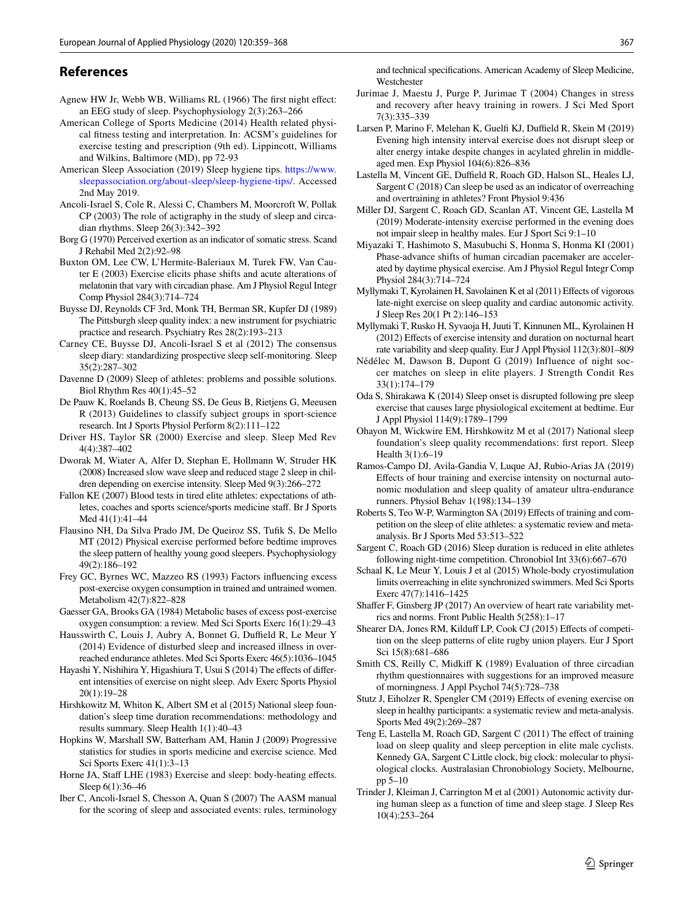#### **References**

- <span id="page-9-24"></span>Agnew HW Jr, Webb WB, Williams RL (1966) The frst night efect: an EEG study of sleep. Psychophysiology 2(3):263–266
- <span id="page-9-26"></span>American College of Sports Medicine (2014) Health related physical ftness testing and interpretation. In: ACSM's guidelines for exercise testing and prescription (9th ed). Lippincott, Williams and Wilkins, Baltimore (MD), pp 72-93
- <span id="page-9-11"></span>American Sleep Association (2019) Sleep hygiene tips. [https://www.](https://www.sleepassociation.org/about-sleep/sleep-hygiene-tips/) [sleepassociation.org/about-sleep/sleep-hygiene-tips/.](https://www.sleepassociation.org/about-sleep/sleep-hygiene-tips/) Accessed 2nd May 2019.
- <span id="page-9-29"></span>Ancoli-Israel S, Cole R, Alessi C, Chambers M, Moorcroft W, Pollak CP (2003) The role of actigraphy in the study of sleep and circadian rhythms. Sleep 26(3):342–392
- <span id="page-9-25"></span>Borg G (1970) Perceived exertion as an indicator of somatic stress. Scand J Rehabil Med 2(2):92–98
- <span id="page-9-37"></span>Buxton OM, Lee CW, L'Hermite-Baleriaux M, Turek FW, Van Cauter E (2003) Exercise elicits phase shifts and acute alterations of melatonin that vary with circadian phase. Am J Physiol Regul Integr Comp Physiol 284(3):714–724
- <span id="page-9-22"></span>Buysse DJ, Reynolds CF 3rd, Monk TH, Berman SR, Kupfer DJ (1989) The Pittsburgh sleep quality index: a new instrument for psychiatric practice and research. Psychiatry Res 28(2):193–213
- <span id="page-9-30"></span>Carney CE, Buysse DJ, Ancoli-Israel S et al (2012) The consensus sleep diary: standardizing prospective sleep self-monitoring. Sleep 35(2):287–302
- <span id="page-9-1"></span>Davenne D (2009) Sleep of athletes: problems and possible solutions. Biol Rhythm Res 40(1):45–52
- <span id="page-9-21"></span>De Pauw K, Roelands B, Cheung SS, De Geus B, Rietjens G, Meeusen R (2013) Guidelines to classify subject groups in sport-science research. Int J Sports Physiol Perform 8(2):111–122
- <span id="page-9-35"></span>Driver HS, Taylor SR (2000) Exercise and sleep. Sleep Med Rev 4(4):387–402
- <span id="page-9-15"></span>Dworak M, Wiater A, Alfer D, Stephan E, Hollmann W, Struder HK (2008) Increased slow wave sleep and reduced stage 2 sleep in children depending on exercise intensity. Sleep Med 9(3):266–272
- <span id="page-9-0"></span>Fallon KE (2007) Blood tests in tired elite athletes: expectations of athletes, coaches and sports science/sports medicine staf. Br J Sports Med 41(1):41–44
- <span id="page-9-16"></span>Flausino NH, Da Silva Prado JM, De Queiroz SS, Tufk S, De Mello MT (2012) Physical exercise performed before bedtime improves the sleep pattern of healthy young good sleepers. Psychophysiology 49(2):186–192
- <span id="page-9-40"></span>Frey GC, Byrnes WC, Mazzeo RS (1993) Factors infuencing excess post-exercise oxygen consumption in trained and untrained women. Metabolism 42(7):822–828
- <span id="page-9-41"></span>Gaesser GA, Brooks GA (1984) Metabolic bases of excess post-exercise oxygen consumption: a review. Med Sci Sports Exerc 16(1):29–43
- <span id="page-9-9"></span>Hausswirth C, Louis J, Aubry A, Bonnet G, Duffield R, Le Meur Y (2014) Evidence of disturbed sleep and increased illness in overreached endurance athletes. Med Sci Sports Exerc 46(5):1036–1045
- <span id="page-9-34"></span>Hayashi Y, Nishihira Y, Higashiura T, Usui S (2014) The effects of different intensities of exercise on night sleep. Adv Exerc Sports Physiol 20(1):19–28
- <span id="page-9-3"></span>Hirshkowitz M, Whiton K, Albert SM et al (2015) National sleep foundation's sleep time duration recommendations: methodology and results summary. Sleep Health 1(1):40–43
- <span id="page-9-31"></span>Hopkins W, Marshall SW, Batterham AM, Hanin J (2009) Progressive statistics for studies in sports medicine and exercise science. Med Sci Sports Exerc 41(1):3–13
- <span id="page-9-33"></span>Horne JA, Staff LHE (1983) Exercise and sleep: body-heating effects. Sleep 6(1):36–46
- <span id="page-9-27"></span>Iber C, Ancoli-Israel S, Chesson A, Quan S (2007) The AASM manual for the scoring of sleep and associated events: rules, terminology

and technical specifcations. American Academy of Sleep Medicine, **Westchester** 

- <span id="page-9-7"></span>Jurimae J, Maestu J, Purge P, Jurimae T (2004) Changes in stress and recovery after heavy training in rowers. J Sci Med Sport 7(3):335–339
- <span id="page-9-17"></span>Larsen P, Marino F, Melehan K, Guelfi KJ, Duffield R, Skein M (2019) Evening high intensity interval exercise does not disrupt sleep or alter energy intake despite changes in acylated ghrelin in middleaged men. Exp Physiol 104(6):826–836
- <span id="page-9-32"></span>Lastella M, Vincent GE, Duffield R, Roach GD, Halson SL, Heales LJ, Sargent C (2018) Can sleep be used as an indicator of overreaching and overtraining in athletes? Front Physiol 9:436
- <span id="page-9-36"></span>Miller DJ, Sargent C, Roach GD, Scanlan AT, Vincent GE, Lastella M (2019) Moderate-intensity exercise performed in the evening does not impair sleep in healthy males. Eur J Sport Sci 9:1–10
- <span id="page-9-38"></span>Miyazaki T, Hashimoto S, Masubuchi S, Honma S, Honma KI (2001) Phase-advance shifts of human circadian pacemaker are accelerated by daytime physical exercise. Am J Physiol Regul Integr Comp Physiol 284(3):714–724
- <span id="page-9-13"></span>Myllymaki T, Kyrolainen H, Savolainen K et al (2011) Efects of vigorous late-night exercise on sleep quality and cardiac autonomic activity. J Sleep Res 20(1 Pt 2):146–153
- <span id="page-9-14"></span>Myllymaki T, Rusko H, Syvaoja H, Juuti T, Kinnunen ML, Kyrolainen H (2012) Efects of exercise intensity and duration on nocturnal heart rate variability and sleep quality. Eur J Appl Physiol 112(3):801–809
- <span id="page-9-20"></span>Nédélec M, Dawson B, Dupont G (2019) Influence of night soccer matches on sleep in elite players. J Strength Condit Res 33(1):174–179
- <span id="page-9-18"></span>Oda S, Shirakawa K (2014) Sleep onset is disrupted following pre sleep exercise that causes large physiological excitement at bedtime. Eur J Appl Physiol 114(9):1789–1799
- <span id="page-9-2"></span>Ohayon M, Wickwire EM, Hirshkowitz M et al (2017) National sleep foundation's sleep quality recommendations: frst report. Sleep Health 3(1):6-19
- <span id="page-9-19"></span>Ramos-Campo DJ, Avila-Gandia V, Luque AJ, Rubio-Arias JA (2019) Efects of hour training and exercise intensity on nocturnal autonomic modulation and sleep quality of amateur ultra-endurance runners. Physiol Behav 1(198):134–139
- <span id="page-9-6"></span>Roberts S, Teo W-P, Warmington SA (2019) Efects of training and competition on the sleep of elite athletes: a systematic review and metaanalysis. Br J Sports Med 53:513–522
- <span id="page-9-4"></span>Sargent C, Roach GD (2016) Sleep duration is reduced in elite athletes following night-time competition. Chronobiol Int 33(6):667–670
- <span id="page-9-10"></span>Schaal K, Le Meur Y, Louis J et al (2015) Whole-body cryostimulation limits overreaching in elite synchronized swimmers. Med Sci Sports Exerc 47(7):1416–1425
- <span id="page-9-28"></span>Shafer F, Ginsberg JP (2017) An overview of heart rate variability metrics and norms. Front Public Health 5(258):1–17
- <span id="page-9-5"></span>Shearer DA, Jones RM, Kilduff LP, Cook CJ (2015) Effects of competition on the sleep patterns of elite rugby union players. Eur J Sport Sci 15(8):681–686
- <span id="page-9-23"></span>Smith CS, Reilly C, Midkif K (1989) Evaluation of three circadian rhythm questionnaires with suggestions for an improved measure of morningness. J Appl Psychol 74(5):728–738
- <span id="page-9-12"></span>Stutz J, Eiholzer R, Spengler CM (2019) Efects of evening exercise on sleep in healthy participants: a systematic review and meta-analysis. Sports Med 49(2):269–287
- <span id="page-9-8"></span>Teng E, Lastella M, Roach GD, Sargent C (2011) The efect of training load on sleep quality and sleep perception in elite male cyclists. Kennedy GA, Sargent C Little clock, big clock: molecular to physiological clocks. Australasian Chronobiology Society, Melbourne, pp 5–10
- <span id="page-9-39"></span>Trinder J, Kleiman J, Carrington M et al (2001) Autonomic activity during human sleep as a function of time and sleep stage. J Sleep Res 10(4):253–264